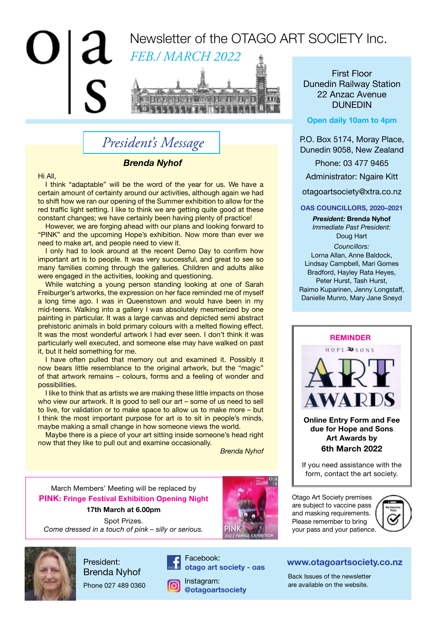

# *President's Message*

### *Brenda Nyhof*

Hi All,

I think "adaptable" will be the word of the year for us. We have a certain amount of certainty around our activities, although again we had to shift how we ran our opening of the Summer exhibition to allow for the red traffic light setting. I like to think we are getting quite good at these constant changes; we have certainly been having plenty of practice!

However, we are forging ahead with our plans and looking forward to "PINK" and the upcoming Hope's exhibition. Now more than ever we need to make art, and people need to view it.

I only had to look around at the recent Demo Day to confirm how important art is to people. It was very successful, and great to see so many families coming through the galleries. Children and adults alike were engaged in the activities, looking and questioning.

While watching a young person standing looking at one of Sarah Freiburger's artworks, the expression on her face reminded me of myself a long time ago. I was in Queenstown and would have been in my mid-teens. Walking into a gallery I was absolutely mesmerized by one painting in particular. It was a large canvas and depicted semi abstract prehistoric animals in bold primary colours with a melted flowing effect. It was the most wonderful artwork I had ever seen. I don't think it was particularly well executed, and someone else may have walked on past it, but it held something for me.

I have often pulled that memory out and examined it. Possibly it now bears little resemblance to the original artwork, but the "magic" of that artwork remains – colours, forms and a feeling of wonder and possibilities.

I like to think that as artists we are making these little impacts on those who view our artwork. It is good to sell our art – some of us need to sell to live, for validation or to make space to allow us to make more – but I think the most important purpose for art is to sit in people's minds, maybe making a small change in how someone views the world.

Maybe there is a piece of your art sitting inside someone's head right now that they like to pull out and examine occasionally.

*Brenda Nyhof*

March Members' Meeting will be replaced by **PINK: Fringe Festival Exhibition Opening Night**

### **17th March at 6.00pm**

Spot Prizes. *Come dressed in a touch of pink – silly or serious.*



Facebook: **otago art society - oas**

**@otagoartsociety**

### First Floor Dunedin Railway Station 22 Anzac Avenue DUNEDIN

#### **Open daily 10am to 4pm**

P.O. Box 5174, Moray Place, Dunedin 9058, New Zealand

Phone: 03 477 9465

Administrator: Ngaire Kitt

otagoartsociety@xtra.co.nz

#### **OAS COUNCILLORS, 2020–2021**

*President:* **Brenda Nyhof** *Immediate Past President:* Doug Hart

*Councillors:* 

Lorna Allan, Anne Baldock, Lindsay Campbell, Mari Gomes Bradford, Hayley Rata Heyes, Peter Hurst, Tash Hurst, Raimo Kuparinen, Jenny Longstaff, Danielle Munro, Mary Jane Sneyd



**Online Entry Form and Fee due for Hope and Sons Art Awards by 6th March 2022**

If you need assistance with the form, contact the art society.

Otago Art Society premises are subject to vaccine pass and masking requirements. Please remember to bring your pass and your patience.



### **www.otagoartsociety.co.nz**

Back Issues of the newsletter Instagram: Exercise on the newslettence of the newslettence of the newslettence of the website.



President: Brenda Nyhof

Phone 027 489 0360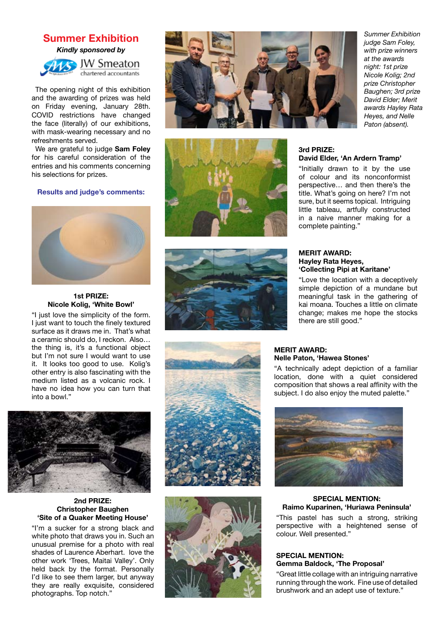### **Summer Exhibition**

*Kindly sponsored by*



The opening night of this exhibition and the awarding of prizes was held on Friday evening, January 28th. COVID restrictions have changed the face (literally) of our exhibitions, with mask-wearing necessary and no refreshments served.

We are grateful to judge **Sam Foley** for his careful consideration of the entries and his comments concerning his selections for prizes.

#### **Results and judge's comments:**



#### **1st PRIZE: Nicole Kolig, 'White Bowl'**

"I just love the simplicity of the form. I just want to touch the finely textured surface as it draws me in. That's what a ceramic should do, I reckon. Also… the thing is, it's a functional object but I'm not sure I would want to use it. It looks too good to use. Kolig's other entry is also fascinating with the medium listed as a volcanic rock. I have no idea how you can turn that into a bowl."



#### **2nd PRIZE: Christopher Baughen 'Site of a Quaker Meeting House'**

"I'm a sucker for a strong black and white photo that draws you in. Such an unusual premise for a photo with real shades of Laurence Aberhart. love the other work 'Trees, Maitai Valley'. Only held back by the format. Personally I'd like to see them larger, but anyway they are really exquisite, considered photographs. Top notch."











#### *Summer Exhibition judge Sam Foley, with prize winners at the awards night: 1st prize Nicole Kolig; 2nd prize Christopher Baughen; 3rd prize David Elder; Merit awards Hayley Rata Heyes, and Nelle Paton (absent).*

#### **3rd PRIZE: David Elder, 'An Ardern Tramp'**

"Initially drawn to it by the use of colour and its nonconformist perspective… and then there's the title. What's going on here? I'm not sure, but it seems topical. Intriguing little tableau, artfully constructed in a naive manner making for a complete painting."

#### **MERIT AWARD: Hayley Rata Heyes, 'Collecting Pipi at Karitane'**

"Love the location with a deceptively simple depiction of a mundane but meaningful task in the gathering of kai moana. Touches a little on climate change; makes me hope the stocks there are still good."

#### **MERIT AWARD: Nelle Paton, 'Hawea Stones'**

"A technically adept depiction of a familiar location, done with a quiet considered composition that shows a real affinity with the subject. I do also enjoy the muted palette."



#### **SPECIAL MENTION: Raimo Kuparinen, 'Huriawa Peninsula'**

"This pastel has such a strong, striking perspective with a heightened sense of colour. Well presented."

#### **SPECIAL MENTION: Gemma Baldock, 'The Proposal'**

"Great little collage with an intriguing narrative running through the work. Fine use of detailed brushwork and an adept use of texture."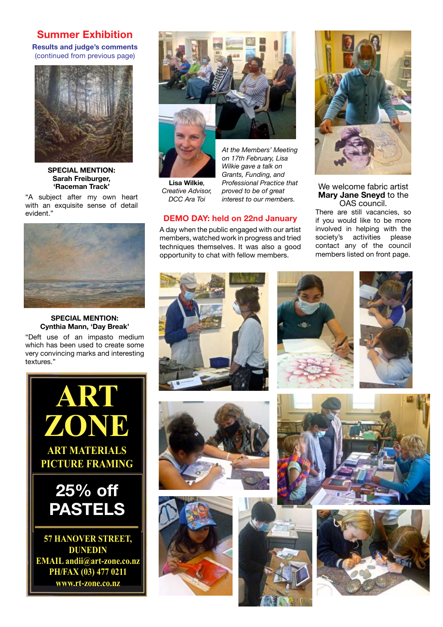### **Summer Exhibition**

**Results and judge's comments** (continued from previous page)



**SPECIAL MENTION: Sarah Freiburger, 'Raceman Track'**

"A subject after my own heart with an exquisite sense of detail evident."



#### **SPECIAL MENTION: Cynthia Mann, 'Day Break'**

"Deft use of an impasto medium which has been used to create some very convincing marks and interesting textures."





**Lisa Wilkie***, Creative Advisor, DCC Ara Toi*

*At the Members' Meeting on 17th February, Lisa Wilkie gave a talk on Grants, Funding, and Professional Practice that proved to be of great interest to our members.*

### **DEMO DAY: held on 22nd January**

A day when the public engaged with our artist members, watched work in progress and tried techniques themselves. It was also a good opportunity to chat with fellow members.



We welcome fabric artist **Mary Jane Sneyd** to the OAS council.

There are still vacancies, so if you would like to be more involved in helping with the society's activities please contact any of the council members listed on front page.